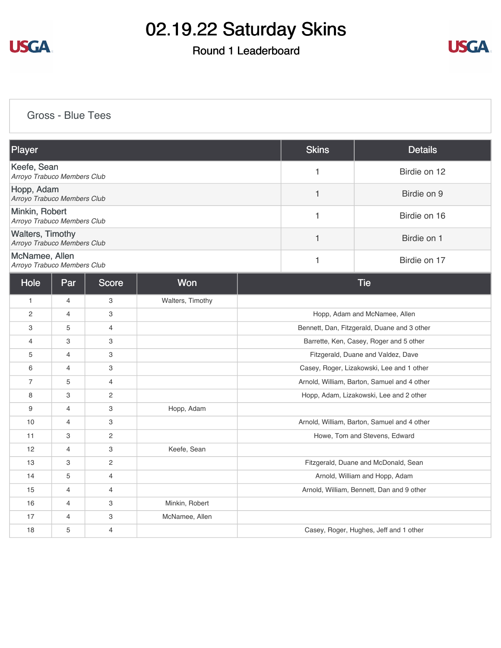

### Round 1 Leaderboard



[Gross - Blue Tees](https://cdn2.golfgenius.com/v2tournaments/8230815624532615383?called_from=&round_index=1)

| Player                                                 |                |                |                  |                                             | <b>Skins</b> | <b>Details</b>                              |
|--------------------------------------------------------|----------------|----------------|------------------|---------------------------------------------|--------------|---------------------------------------------|
| Keefe, Sean<br>Arroyo Trabuco Members Club             |                |                |                  |                                             | 1            | Birdie on 12                                |
| Hopp, Adam<br>Arroyo Trabuco Members Club              |                |                |                  |                                             | $\mathbf{1}$ | Birdie on 9                                 |
| Minkin, Robert<br>Arroyo Trabuco Members Club          |                |                |                  |                                             | 1            | Birdie on 16                                |
| <b>Walters, Timothy</b><br>Arroyo Trabuco Members Club |                |                |                  |                                             | 1            | Birdie on 1                                 |
| McNamee, Allen<br>Arroyo Trabuco Members Club          |                |                |                  |                                             | $\mathbf{1}$ | Birdie on 17                                |
| <b>Hole</b>                                            | Par            | Score          | Won              |                                             |              | <b>Tie</b>                                  |
| $\mathbf{1}$                                           | $\overline{4}$ | 3              | Walters, Timothy |                                             |              |                                             |
| 2                                                      | $\overline{4}$ | 3              |                  |                                             |              | Hopp, Adam and McNamee, Allen               |
| 3                                                      | 5              | $\overline{4}$ |                  | Bennett, Dan, Fitzgerald, Duane and 3 other |              |                                             |
| $\overline{4}$                                         | 3              | 3              |                  | Barrette, Ken, Casey, Roger and 5 other     |              |                                             |
| 5                                                      | 4              | 3              |                  | Fitzgerald, Duane and Valdez, Dave          |              |                                             |
| 6                                                      | $\overline{4}$ | 3              |                  | Casey, Roger, Lizakowski, Lee and 1 other   |              |                                             |
| $\overline{7}$                                         | 5              | 4              |                  | Arnold, William, Barton, Samuel and 4 other |              |                                             |
| 8                                                      | 3              | $\overline{c}$ |                  | Hopp, Adam, Lizakowski, Lee and 2 other     |              |                                             |
| 9                                                      | $\overline{4}$ | 3              | Hopp, Adam       |                                             |              |                                             |
| 10                                                     | $\overline{4}$ | 3              |                  |                                             |              | Arnold, William, Barton, Samuel and 4 other |
| 11                                                     | 3              | $\mathbf{2}$   |                  |                                             |              | Howe, Tom and Stevens, Edward               |
| 12                                                     | $\overline{4}$ | 3              | Keefe, Sean      |                                             |              |                                             |
| 13                                                     | 3              | $\overline{c}$ |                  |                                             |              | Fitzgerald, Duane and McDonald, Sean        |
| 14                                                     | 5              | $\overline{4}$ |                  |                                             |              | Arnold, William and Hopp, Adam              |
| 15                                                     | $\overline{4}$ | $\overline{4}$ |                  |                                             |              | Arnold, William, Bennett, Dan and 9 other   |
| 16                                                     | $\overline{4}$ | 3              | Minkin, Robert   |                                             |              |                                             |
| 17                                                     | $\overline{4}$ | 3              | McNamee, Allen   |                                             |              |                                             |
| 18                                                     | 5              | $\overline{4}$ |                  |                                             |              | Casey, Roger, Hughes, Jeff and 1 other      |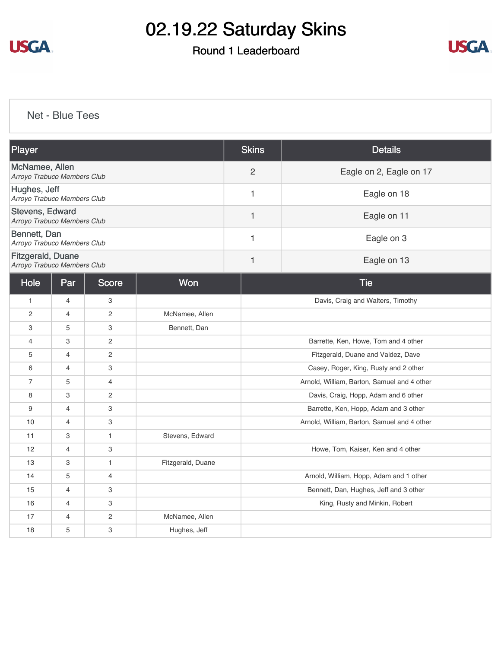

#### Round 1 Leaderboard



[Net - Blue Tees](https://cdn2.golfgenius.com/v2tournaments/8230816791153107160?called_from=&round_index=1)

| Player                                           |                |                           |                   | <b>Skins</b>   | <b>Details</b>                              |  |  |
|--------------------------------------------------|----------------|---------------------------|-------------------|----------------|---------------------------------------------|--|--|
| McNamee, Allen<br>Arroyo Trabuco Members Club    |                |                           |                   | $\overline{2}$ | Eagle on 2, Eagle on 17                     |  |  |
| Hughes, Jeff<br>Arroyo Trabuco Members Club      |                |                           |                   | 1              | Eagle on 18                                 |  |  |
| Stevens, Edward<br>Arroyo Trabuco Members Club   |                |                           |                   | $\mathbf{1}$   | Eagle on 11                                 |  |  |
| Bennett, Dan<br>Arroyo Trabuco Members Club      |                |                           |                   | $\mathbf{1}$   | Eagle on 3                                  |  |  |
| Fitzgerald, Duane<br>Arroyo Trabuco Members Club |                |                           |                   | 1              | Eagle on 13                                 |  |  |
| Hole                                             | Par            | <b>Score</b>              | Won               |                | <b>Tie</b>                                  |  |  |
| $\mathbf{1}$                                     | $\overline{4}$ | 3                         |                   |                | Davis, Craig and Walters, Timothy           |  |  |
| $\overline{c}$                                   | $\overline{4}$ | $\overline{2}$            | McNamee, Allen    |                |                                             |  |  |
| 3                                                | 5              | 3                         | Bennett, Dan      |                |                                             |  |  |
| $\overline{4}$                                   | 3              | 2                         |                   |                | Barrette, Ken, Howe, Tom and 4 other        |  |  |
| 5                                                | $\overline{4}$ | 2                         |                   |                | Fitzgerald, Duane and Valdez, Dave          |  |  |
| 6                                                | $\overline{4}$ | 3                         |                   |                | Casey, Roger, King, Rusty and 2 other       |  |  |
| $\overline{7}$                                   | 5              | $\overline{4}$            |                   |                | Arnold, William, Barton, Samuel and 4 other |  |  |
| 8                                                | 3              | $\sqrt{2}$                |                   |                | Davis, Craig, Hopp, Adam and 6 other        |  |  |
| 9                                                | $\overline{4}$ | 3                         |                   |                | Barrette, Ken, Hopp, Adam and 3 other       |  |  |
| 10                                               | $\overline{4}$ | 3                         |                   |                | Arnold, William, Barton, Samuel and 4 other |  |  |
| 11                                               | 3              | $\mathbf{1}$              | Stevens, Edward   |                |                                             |  |  |
| 12                                               | 4              | 3                         |                   |                | Howe, Tom, Kaiser, Ken and 4 other          |  |  |
| 13                                               | 3              | $\mathbf{1}$              | Fitzgerald, Duane |                |                                             |  |  |
| 14                                               | 5              | $\overline{4}$            |                   |                | Arnold, William, Hopp, Adam and 1 other     |  |  |
| 15                                               | $\overline{4}$ | 3                         |                   |                | Bennett, Dan, Hughes, Jeff and 3 other      |  |  |
| 16                                               | 4              | $\ensuremath{\mathsf{3}}$ |                   |                | King, Rusty and Minkin, Robert              |  |  |
| 17                                               | 4              | $\overline{2}$            | McNamee, Allen    |                |                                             |  |  |
| 18                                               | 5              | $\ensuremath{\mathsf{3}}$ | Hughes, Jeff      |                |                                             |  |  |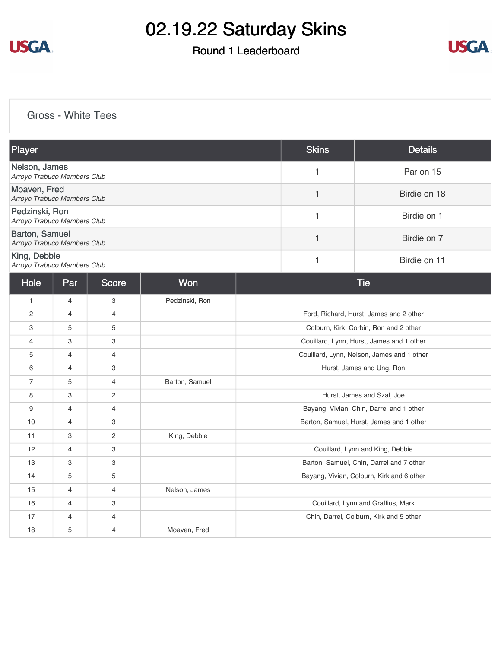

### Round 1 Leaderboard



#### [Gross - White Tees](https://cdn2.golfgenius.com/v2tournaments/8230817689975677145?called_from=&round_index=1)

| Player                                        |                |                |                |                                            | <b>Skins</b> | <b>Details</b>                            |
|-----------------------------------------------|----------------|----------------|----------------|--------------------------------------------|--------------|-------------------------------------------|
| Nelson, James<br>Arroyo Trabuco Members Club  |                |                |                |                                            | $\mathbf{1}$ | Par on 15                                 |
| Moaven, Fred<br>Arroyo Trabuco Members Club   |                |                |                |                                            | $\mathbf{1}$ | Birdie on 18                              |
| Pedzinski, Ron<br>Arroyo Trabuco Members Club |                |                |                | $\mathbf{1}$                               | Birdie on 1  |                                           |
| Barton, Samuel<br>Arroyo Trabuco Members Club |                |                |                |                                            | 1            | Birdie on 7                               |
| King, Debbie<br>Arroyo Trabuco Members Club   |                |                |                |                                            | 1            | Birdie on 11                              |
| Hole                                          | Par            | <b>Score</b>   | Won            |                                            |              | <b>Tie</b>                                |
| $\mathbf{1}$                                  | 4              | 3              | Pedzinski, Ron |                                            |              |                                           |
| $\overline{c}$                                | $\overline{4}$ | $\overline{4}$ |                |                                            |              | Ford, Richard, Hurst, James and 2 other   |
| 3                                             | 5              | 5              |                | Colburn, Kirk, Corbin, Ron and 2 other     |              |                                           |
| $\overline{4}$                                | 3              | 3              |                | Couillard, Lynn, Hurst, James and 1 other  |              |                                           |
| 5                                             | $\overline{4}$ | $\overline{4}$ |                | Couillard, Lynn, Nelson, James and 1 other |              |                                           |
| 6                                             | $\overline{4}$ | 3              |                | Hurst, James and Ung, Ron                  |              |                                           |
| $\overline{7}$                                | 5              | 4              | Barton, Samuel |                                            |              |                                           |
| 8                                             | 3              | $\mathbf{2}$   |                |                                            |              | Hurst, James and Szal, Joe                |
| 9                                             | $\overline{4}$ | 4              |                |                                            |              | Bayang, Vivian, Chin, Darrel and 1 other  |
| 10                                            | $\overline{4}$ | 3              |                | Barton, Samuel, Hurst, James and 1 other   |              |                                           |
| 11                                            | 3              | 2              | King, Debbie   |                                            |              |                                           |
| 12                                            | $\overline{4}$ | 3              |                | Couillard, Lynn and King, Debbie           |              |                                           |
| 13                                            | 3              | 3              |                | Barton, Samuel, Chin, Darrel and 7 other   |              |                                           |
| 14                                            | 5              | 5              |                |                                            |              | Bayang, Vivian, Colburn, Kirk and 6 other |
| 15                                            | $\overline{4}$ | $\overline{4}$ | Nelson, James  |                                            |              |                                           |
| 16                                            | 4              | 3              |                |                                            |              | Couillard, Lynn and Graffius, Mark        |
| 17                                            | $\overline{4}$ | $\overline{4}$ |                |                                            |              | Chin, Darrel, Colburn, Kirk and 5 other   |
| 18                                            | 5              | $\overline{4}$ | Moaven, Fred   |                                            |              |                                           |